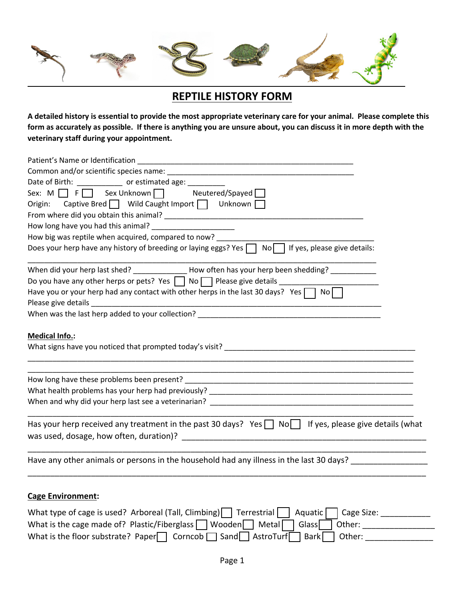

## **REPTILE HISTORY FORM**

**A detailed history is essential to provide the most appropriate veterinary care for your animal. Please complete this form as accurately as possible. If there is anything you are unsure about, you can discuss it in more depth with the veterinary staff during your appointment.**

| Date of Birth: ____________ or estimated age: _________<br>Sex: M F Sex Unknown Neutered/Spayed<br>Origin: Captive Bred   Wild Caught Import   Unknown                                                                                                                                                               |  |  |  |  |                                    |
|----------------------------------------------------------------------------------------------------------------------------------------------------------------------------------------------------------------------------------------------------------------------------------------------------------------------|--|--|--|--|------------------------------------|
|                                                                                                                                                                                                                                                                                                                      |  |  |  |  |                                    |
|                                                                                                                                                                                                                                                                                                                      |  |  |  |  | How long have you had this animal? |
| How big was reptile when acquired, compared to now? ____                                                                                                                                                                                                                                                             |  |  |  |  |                                    |
| Does your herp have any history of breeding or laying eggs? Yes<br>If yes, please give details:<br>No I                                                                                                                                                                                                              |  |  |  |  |                                    |
| When did your herp last shed? How often has your herp been shedding?                                                                                                                                                                                                                                                 |  |  |  |  |                                    |
| Do you have any other herps or pets? Yes $\Box$ No $\Box$ Please give details $\Box$                                                                                                                                                                                                                                 |  |  |  |  |                                    |
| Have you or your herp had any contact with other herps in the last 30 days? Yes $\Box$<br>$No \Box$                                                                                                                                                                                                                  |  |  |  |  |                                    |
| When was the last herp added to your collection?                                                                                                                                                                                                                                                                     |  |  |  |  |                                    |
|                                                                                                                                                                                                                                                                                                                      |  |  |  |  |                                    |
| <b>Medical Info.:</b>                                                                                                                                                                                                                                                                                                |  |  |  |  |                                    |
|                                                                                                                                                                                                                                                                                                                      |  |  |  |  |                                    |
|                                                                                                                                                                                                                                                                                                                      |  |  |  |  |                                    |
|                                                                                                                                                                                                                                                                                                                      |  |  |  |  |                                    |
| When and why did your herp last see a veterinarian?                                                                                                                                                                                                                                                                  |  |  |  |  |                                    |
| Has your herp received any treatment in the past 30 days? Yes $\Box$ No If yes, please give details (what                                                                                                                                                                                                            |  |  |  |  |                                    |
|                                                                                                                                                                                                                                                                                                                      |  |  |  |  |                                    |
| Have any other animals or persons in the household had any illness in the last 30 days?                                                                                                                                                                                                                              |  |  |  |  |                                    |
|                                                                                                                                                                                                                                                                                                                      |  |  |  |  |                                    |
| <b>Cage Environment:</b>                                                                                                                                                                                                                                                                                             |  |  |  |  |                                    |
| What type of cage is used? Arboreal (Tall, Climbing) $\Box$ Terrestrial<br>Aquatic<br>Cage Size: and the case of the case of the case of the case of the case of the case of the case of the case of the case of the case of the case of the case of the case of the case of the case of the case of the case of the |  |  |  |  |                                    |
| What is the cage made of? Plastic/Fiberglass $\Box$ Wooden $\Box$ Metal<br>Glass<br>Other:                                                                                                                                                                                                                           |  |  |  |  |                                    |

What is the floor substrate? Paper Corncob  $\Box$  Sand  $\Box$  AstroTurf Bark  $\Box$  Other:  $\Box$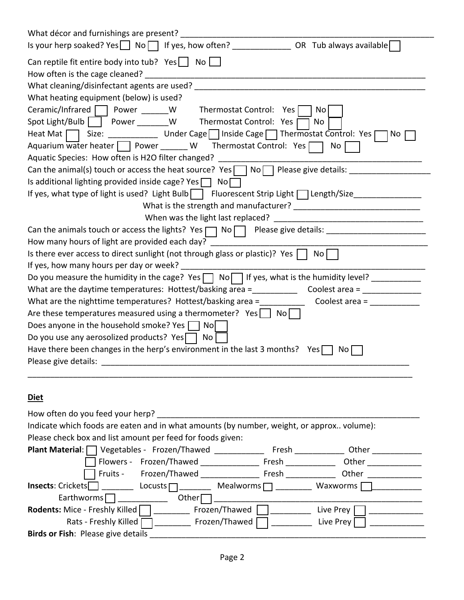| Can reptile fit entire body into tub? Yes $\Box$ No $\Box$                                                                          |  |  |  |  |
|-------------------------------------------------------------------------------------------------------------------------------------|--|--|--|--|
|                                                                                                                                     |  |  |  |  |
|                                                                                                                                     |  |  |  |  |
| What heating equipment (below) is used?                                                                                             |  |  |  |  |
| Ceramic/Infrared Power ______W Thermostat Control: Yes<br>No                                                                        |  |  |  |  |
| Spot Light/Bulb     Power ________ W Thermostat Control: Yes<br>No                                                                  |  |  |  |  |
| Size: _______________ Under Cage   Inside Cage   Thermostat Control: Yes  <br>Heat Mat $\Box$<br>No.                                |  |  |  |  |
| Aquarium water heater $\Box$ Power ______ W Thermostat Control: Yes $\Box$<br>No <sub>1</sub>                                       |  |  |  |  |
| Aquatic Species: How often is H2O filter changed?                                                                                   |  |  |  |  |
| Can the animal(s) touch or access the heat source? Yes $\Box$ No $\Box$ Please give details:                                        |  |  |  |  |
| Is additional lighting provided inside cage? Yes $\Box$ No $\Box$                                                                   |  |  |  |  |
| If yes, what type of light is used? Light Bulb   Fluorescent Strip Light   Length/Size______________                                |  |  |  |  |
|                                                                                                                                     |  |  |  |  |
| When was the light last replaced?                                                                                                   |  |  |  |  |
|                                                                                                                                     |  |  |  |  |
| How many hours of light are provided each day?                                                                                      |  |  |  |  |
| Is there ever access to direct sunlight (not through glass or plastic)? Yes    <br>No                                               |  |  |  |  |
| If yes, how many hours per day or week?                                                                                             |  |  |  |  |
|                                                                                                                                     |  |  |  |  |
| What are the daytime temperatures: Hottest/basking area = $\qquad \qquad \qquad \qquad \text{Coolest area = } \qquad \qquad \qquad$ |  |  |  |  |
| What are the nighttime temperatures? Hottest/basking area =<br>Coolest area =                                                       |  |  |  |  |
| Are these temperatures measured using a thermometer? $Yes \cup No$                                                                  |  |  |  |  |
| Does anyone in the household smoke? Yes $\Box$ No                                                                                   |  |  |  |  |
| Do you use any aerosolized products? Yes $\Box$ No                                                                                  |  |  |  |  |
| Have there been changes in the herp's environment in the last 3 months? Yes $\Box$<br>NO.                                           |  |  |  |  |
| Please give details:                                                                                                                |  |  |  |  |
|                                                                                                                                     |  |  |  |  |
|                                                                                                                                     |  |  |  |  |
| <u>Diet</u>                                                                                                                         |  |  |  |  |
| How often do you feed your herp? ___________                                                                                        |  |  |  |  |
| Indicate which foods are eaten and in what amounts (by number, weight, or approx volume):                                           |  |  |  |  |
| Please check box and list amount per feed for foods given:                                                                          |  |  |  |  |
| Plant Material: Vegetables - Frozen/Thawed _____________ Fresh ____________ Other ___________                                       |  |  |  |  |
|                                                                                                                                     |  |  |  |  |
| Fruits - Frozen/Thawed - Fresh - Other                                                                                              |  |  |  |  |

| How often do you feed your herp?                                                          |                  |            |  |  |
|-------------------------------------------------------------------------------------------|------------------|------------|--|--|
|                                                                                           |                  |            |  |  |
| Indicate which foods are eaten and in what amounts (by number, weight, or approx volume): |                  |            |  |  |
| Please check box and list amount per feed for foods given:                                |                  |            |  |  |
| Plant Material:   Vegetables - Frozen/Thawed                                              | Fresh            | Other      |  |  |
| Flowers - Frozen/Thawed                                                                   | Fresh            | Other      |  |  |
| Fruits -<br>Frozen/Thawed                                                                 | Fresh            | Other      |  |  |
| <b>Insects:</b> Crickets<br>Locusts $\Box$                                                | Mealworms $\Box$ | Waxworms [ |  |  |
| Earthworms $\Box$<br>Other                                                                |                  |            |  |  |
| Rodents: Mice - Freshly Killed                                                            | Frozen/Thawed    | Live Prey  |  |  |
| Rats - Freshly Killed                                                                     | Frozen/Thawed    | Live Prey  |  |  |
| Birds or Fish: Please give details                                                        |                  |            |  |  |